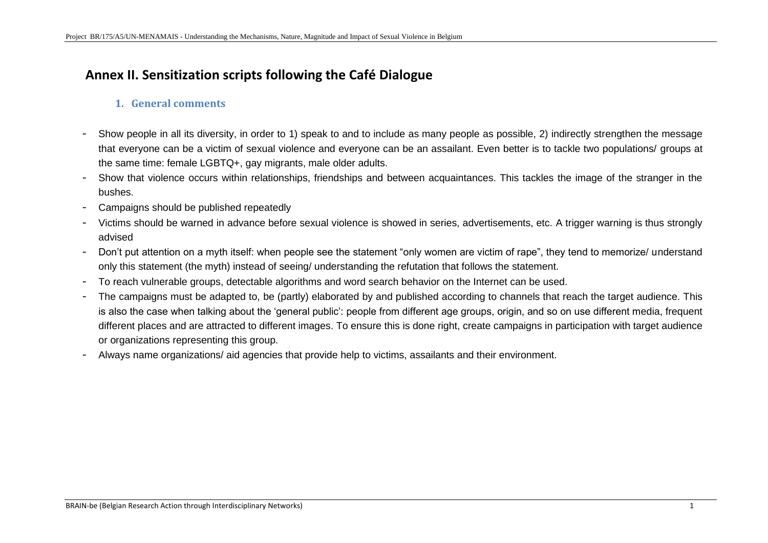# **Annex II. Sensitization scripts following the Café Dialogue**

### **1. General comments**

- Show people in all its diversity, in order to 1) speak to and to include as many people as possible, 2) indirectly strengthen the message that everyone can be a victim of sexual violence and everyone can be an assailant. Even better is to tackle two populations/ groups at the same time: female LGBTQ+, gay migrants, male older adults.
- Show that violence occurs within relationships, friendships and between acquaintances. This tackles the image of the stranger in the bushes.
- Campaigns should be published repeatedly
- Victims should be warned in advance before sexual violence is showed in series, advertisements, etc. A trigger warning is thus strongly advised
- Don't put attention on a myth itself: when people see the statement "only women are victim of rape", they tend to memorize/ understand only this statement (the myth) instead of seeing/ understanding the refutation that follows the statement.
- To reach vulnerable groups, detectable algorithms and word search behavior on the Internet can be used.
- The campaigns must be adapted to, be (partly) elaborated by and published according to channels that reach the target audience. This is also the case when talking about the 'general public': people from different age groups, origin, and so on use different media, frequent different places and are attracted to different images. To ensure this is done right, create campaigns in participation with target audience or organizations representing this group.
- Always name organizations/ aid agencies that provide help to victims, assailants and their environment.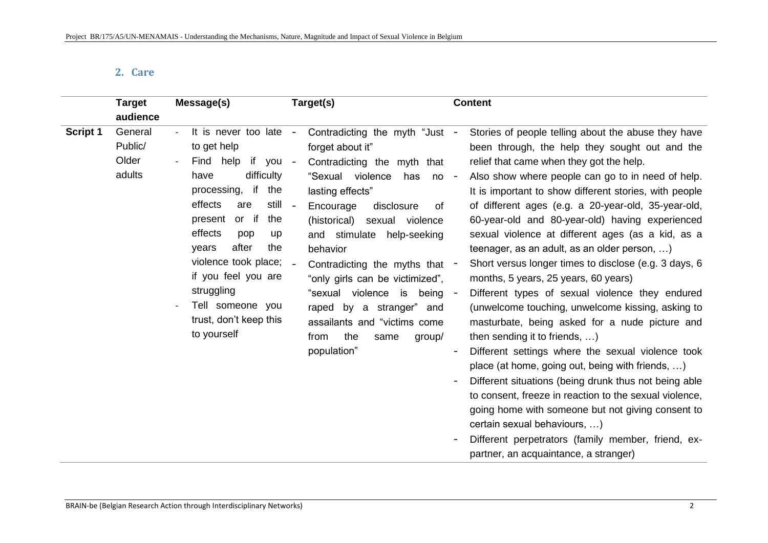## **2. Care**

| <b>Target</b><br>audience                                | Message(s)                                                                                                                                                                                                                                                                                                                                   | Target(s)                                                                                                                                                                                                                                                                                                                                                                                                                                                                                                                             | <b>Content</b>                                                                                                                                                                                                                                                                                                                                                                                                                                                                                                                                                                                                                                                                                                                                                                                                                                                                                                                                                                                                                                                                                                                                                                              |
|----------------------------------------------------------|----------------------------------------------------------------------------------------------------------------------------------------------------------------------------------------------------------------------------------------------------------------------------------------------------------------------------------------------|---------------------------------------------------------------------------------------------------------------------------------------------------------------------------------------------------------------------------------------------------------------------------------------------------------------------------------------------------------------------------------------------------------------------------------------------------------------------------------------------------------------------------------------|---------------------------------------------------------------------------------------------------------------------------------------------------------------------------------------------------------------------------------------------------------------------------------------------------------------------------------------------------------------------------------------------------------------------------------------------------------------------------------------------------------------------------------------------------------------------------------------------------------------------------------------------------------------------------------------------------------------------------------------------------------------------------------------------------------------------------------------------------------------------------------------------------------------------------------------------------------------------------------------------------------------------------------------------------------------------------------------------------------------------------------------------------------------------------------------------|
| <b>Script 1</b><br>General<br>Public/<br>Older<br>adults | It is never too late -<br>to get help<br>if you<br>Find help<br>difficulty<br>have<br>processing, if<br>the<br>still<br>effects<br>are<br>or if<br>the<br>present<br>effects<br>pop<br>up<br>after<br>the<br>years<br>violence took place;<br>if you feel you are<br>struggling<br>Tell someone you<br>trust, don't keep this<br>to yourself | Contradicting the myth "Just -<br>forget about it"<br>Contradicting the myth<br>$\overline{\phantom{a}}$<br>that<br>"Sexual violence<br>has<br>$no -$<br>lasting effects"<br>$\sim$<br>Encourage<br>disclosure<br>of<br>(historical)<br>sexual violence<br>and stimulate<br>help-seeking<br>behavior<br>$\sim$<br>Contradicting the myths that<br>"only girls can be victimized",<br>"sexual violence<br>is<br>being -<br>raped by a stranger"<br>and<br>assailants and "victims come<br>the<br>from<br>same<br>group/<br>population" | Stories of people telling about the abuse they have<br>been through, the help they sought out and the<br>relief that came when they got the help.<br>Also show where people can go to in need of help.<br>It is important to show different stories, with people<br>of different ages (e.g. a 20-year-old, 35-year-old,<br>60-year-old and 80-year-old) having experienced<br>sexual violence at different ages (as a kid, as a<br>teenager, as an adult, as an older person, )<br>Short versus longer times to disclose (e.g. 3 days, 6<br>months, 5 years, 25 years, 60 years)<br>Different types of sexual violence they endured<br>(unwelcome touching, unwelcome kissing, asking to<br>masturbate, being asked for a nude picture and<br>then sending it to friends, )<br>Different settings where the sexual violence took<br>place (at home, going out, being with friends, )<br>Different situations (being drunk thus not being able<br>to consent, freeze in reaction to the sexual violence,<br>going home with someone but not giving consent to<br>certain sexual behaviours, )<br>Different perpetrators (family member, friend, ex-<br>partner, an acquaintance, a stranger) |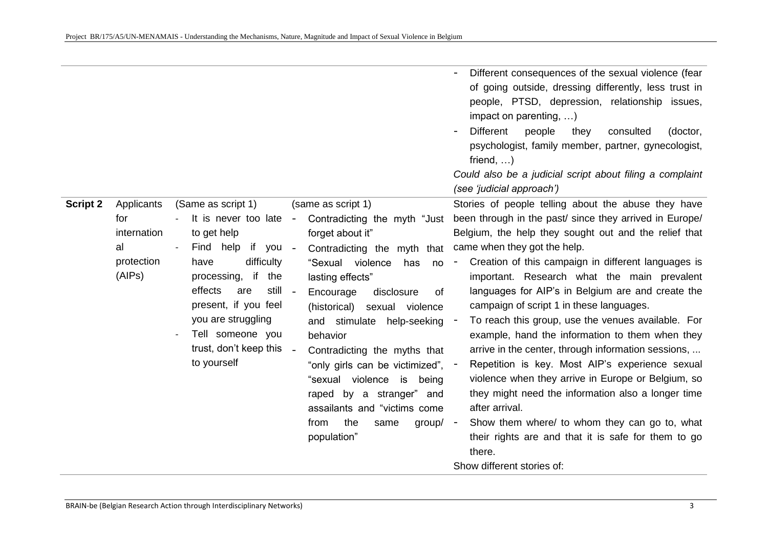|                 |                                                                |                                                                                                                                                                                                                                                                    |                                                                                                                                                                                                                                                                                                                                                                                                                                                                                                                              | Different consequences of the sexual violence (fear<br>of going outside, dressing differently, less trust in<br>people, PTSD, depression, relationship issues,<br>impact on parenting, )<br><b>Different</b><br>people<br>consulted<br>they<br>(doctor,<br>psychologist, family member, partner, gynecologist,<br>friend, $\dots$ )<br>Could also be a judicial script about filing a complaint<br>(see 'judicial approach')                                                                                                                                                                                                                                                                                                                                                                                                                                                                                                                |
|-----------------|----------------------------------------------------------------|--------------------------------------------------------------------------------------------------------------------------------------------------------------------------------------------------------------------------------------------------------------------|------------------------------------------------------------------------------------------------------------------------------------------------------------------------------------------------------------------------------------------------------------------------------------------------------------------------------------------------------------------------------------------------------------------------------------------------------------------------------------------------------------------------------|---------------------------------------------------------------------------------------------------------------------------------------------------------------------------------------------------------------------------------------------------------------------------------------------------------------------------------------------------------------------------------------------------------------------------------------------------------------------------------------------------------------------------------------------------------------------------------------------------------------------------------------------------------------------------------------------------------------------------------------------------------------------------------------------------------------------------------------------------------------------------------------------------------------------------------------------|
| <b>Script 2</b> | Applicants<br>for<br>internation<br>al<br>protection<br>(AIPs) | (Same as script 1)<br>It is never too late<br>to get help<br>if you<br>Find help<br>difficulty<br>have<br>processing, if the<br>effects<br>still<br>are<br>present, if you feel<br>you are struggling<br>Tell someone you<br>trust, don't keep this<br>to yourself | (same as script 1)<br>Contradicting the myth "Just"<br>$\sim$<br>forget about it"<br>Contradicting the myth<br>$\sim$ $-$<br>that<br>"Sexual violence<br>has<br>no<br>lasting effects"<br>Encourage<br>disclosure<br>of<br>(historical)<br>sexual violence<br>and stimulate help-seeking<br>behavior<br>Contradicting the myths that<br>"only girls can be victimized", -<br>"sexual violence<br>is<br>being<br>raped by a stranger" and<br>assailants and "victims come<br>the<br>from<br>$group/ -$<br>same<br>population" | Stories of people telling about the abuse they have<br>been through in the past/ since they arrived in Europe/<br>Belgium, the help they sought out and the relief that<br>came when they got the help.<br>Creation of this campaign in different languages is<br>$\overline{\phantom{a}}$<br>important. Research what the main prevalent<br>languages for AIP's in Belgium are and create the<br>campaign of script 1 in these languages.<br>To reach this group, use the venues available. For<br>example, hand the information to them when they<br>arrive in the center, through information sessions,<br>Repetition is key. Most AIP's experience sexual<br>violence when they arrive in Europe or Belgium, so<br>they might need the information also a longer time<br>after arrival.<br>Show them where/ to whom they can go to, what<br>their rights are and that it is safe for them to go<br>there.<br>Show different stories of: |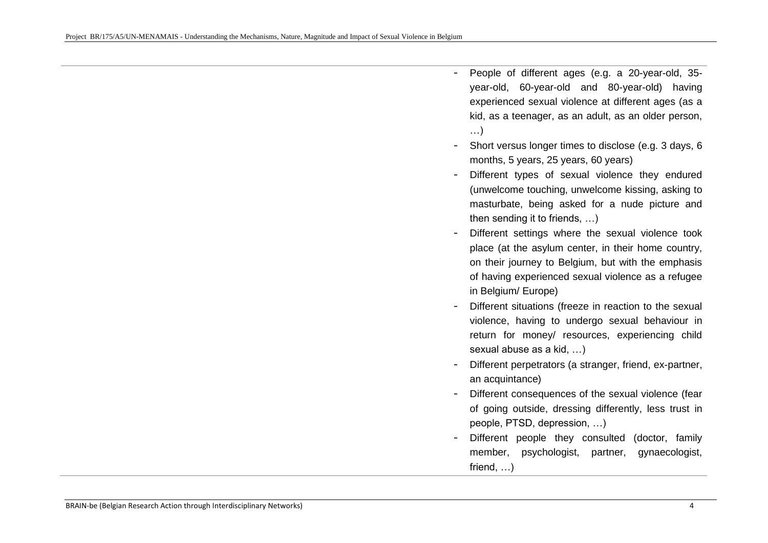- People of different ages (e.g. a 20-year-old, 35 year-old, 60-year-old and 80-year-old) having experienced sexual violence at different ages (as a kid, as a teenager, as an adult, as an older person, …)
- Short versus longer times to disclose (e.g. 3 days, 6 months, 5 years, 25 years, 60 years)
- Different types of sexual violence they endured (unwelcome touching, unwelcome kissing, asking to masturbate, being asked for a nude picture and then sending it to friends, …)
- Different settings where the sexual violence took place (at the asylum center, in their home country, on their journey to Belgium, but with the emphasis of having experienced sexual violence as a refugee in Belgium/ Europe)
- Different situations (freeze in reaction to the sexual violence, having to undergo sexual behaviour in return for money/ resources, experiencing child sexual abuse as a kid, …)
- Different perpetrators (a stranger, friend, ex-partner, an acquintance)
- Different consequences of the sexual violence (fear of going outside, dressing differently, less trust in people, PTSD, depression, …)
- Different people they consulted (doctor, family member, psychologist, partner, gynaecologist, friend, …)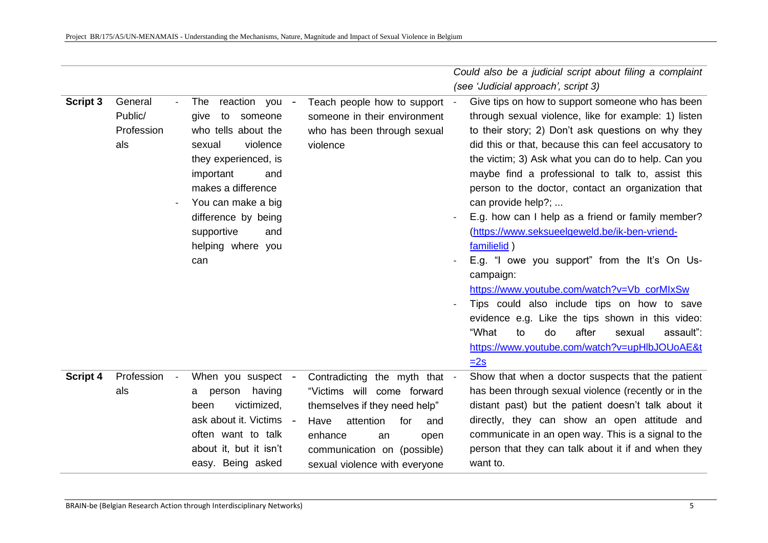|          |                                               |                                                                                                                                                                                                                                                             |                                                                                                                                                                                                                          | Could also be a judicial script about filing a complaint                                                                                                                                                                                                                                                                                                                                                                                                                                                                                                                                                                                                                                                                                                                                                                                                            |
|----------|-----------------------------------------------|-------------------------------------------------------------------------------------------------------------------------------------------------------------------------------------------------------------------------------------------------------------|--------------------------------------------------------------------------------------------------------------------------------------------------------------------------------------------------------------------------|---------------------------------------------------------------------------------------------------------------------------------------------------------------------------------------------------------------------------------------------------------------------------------------------------------------------------------------------------------------------------------------------------------------------------------------------------------------------------------------------------------------------------------------------------------------------------------------------------------------------------------------------------------------------------------------------------------------------------------------------------------------------------------------------------------------------------------------------------------------------|
|          |                                               |                                                                                                                                                                                                                                                             |                                                                                                                                                                                                                          | (see 'Judicial approach', script 3)                                                                                                                                                                                                                                                                                                                                                                                                                                                                                                                                                                                                                                                                                                                                                                                                                                 |
| Script 3 | General<br>Public/<br>Profession<br>als       | reaction you -<br>The<br>to<br>give<br>someone<br>who tells about the<br>sexual<br>violence<br>they experienced, is<br>important<br>and<br>makes a difference<br>You can make a big<br>difference by being<br>supportive<br>and<br>helping where you<br>can | Teach people how to support<br>someone in their environment<br>who has been through sexual<br>violence                                                                                                                   | Give tips on how to support someone who has been<br>through sexual violence, like for example: 1) listen<br>to their story; 2) Don't ask questions on why they<br>did this or that, because this can feel accusatory to<br>the victim; 3) Ask what you can do to help. Can you<br>maybe find a professional to talk to, assist this<br>person to the doctor, contact an organization that<br>can provide help?;<br>E.g. how can I help as a friend or family member?<br>(https://www.seksueelgeweld.be/ik-ben-vriend-<br>familielid)<br>E.g. "I owe you support" from the It's On Us-<br>campaign:<br>https://www.youtube.com/watch?v=Vb_corMIxSw<br>Tips could also include tips on how to save<br>evidence e.g. Like the tips shown in this video:<br>"What<br>after<br>to<br>do<br>sexual<br>assault":<br>https://www.youtube.com/watch?v=upHlbJOUoAE&t<br>$=2s$ |
| Script 4 | Profession<br>$\overline{\phantom{a}}$<br>als | When you suspect<br>having<br>person<br>a<br>victimized,<br>been<br>ask about it. Victims<br>$\sim$<br>often want to talk<br>about it, but it isn't<br>easy. Being asked                                                                                    | Contradicting the myth that -<br>"Victims will come forward<br>themselves if they need help"<br>attention<br>Have<br>for<br>and<br>enhance<br>an<br>open<br>communication on (possible)<br>sexual violence with everyone | Show that when a doctor suspects that the patient<br>has been through sexual violence (recently or in the<br>distant past) but the patient doesn't talk about it<br>directly, they can show an open attitude and<br>communicate in an open way. This is a signal to the<br>person that they can talk about it if and when they<br>want to.                                                                                                                                                                                                                                                                                                                                                                                                                                                                                                                          |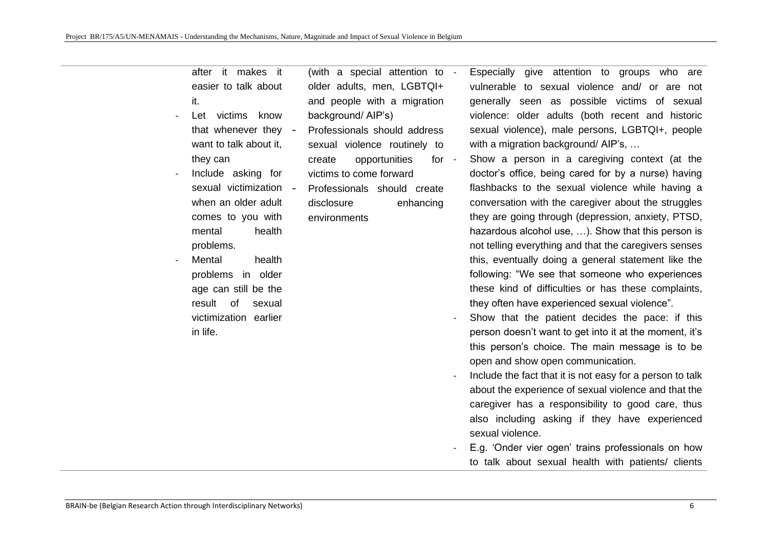after it makes it easier to talk about it.

Let victims know that whenever they want to talk about it. they can

Include asking for sexual victimization when an older adult comes to you with mental health problems.

Mental health problems in older age can still be the result of sexual victimization earlier in life.

(with a special attention to older adults, men, LGBTQI+ and people with a migration background/ AIP's)

- Professionals should address sexual violence routinely to create opportunities for victims to come forward
- Professionals should create disclosure enhancing environments

Especially give attention to groups who are vulnerable to sexual violence and/ or are not generally seen as possible victims of sexual violence: older adults (both recent and historic sexual violence), male persons, LGBTQI+, people with a migration background/ AIP's, ...

- Show a person in a caregiving context (at the doctor's office, being cared for by a nurse) having flashbacks to the sexual violence while having a conversation with the caregiver about the struggles they are going through (depression, anxiety, PTSD, hazardous alcohol use, …). Show that this person is not telling everything and that the caregivers senses this, eventually doing a general statement like the following: "We see that someone who experiences these kind of difficulties or has these complaints, they often have experienced sexual violence".
- Show that the patient decides the pace: if this person doesn't want to get into it at the moment, it's this person's choice. The main message is to be open and show open communication.
- Include the fact that it is not easy for a person to talk about the experience of sexual violence and that the caregiver has a responsibility to good care, thus also including asking if they have experienced sexual violence.
- E.g. 'Onder vier ogen' trains professionals on how to talk about sexual health with patients/ clients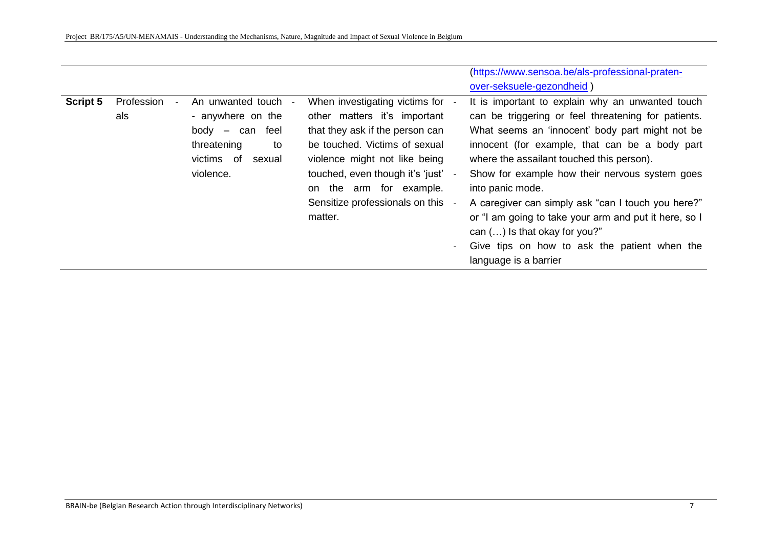|          |                                        |                      |                                   | (https://www.sensoa.be/als-professional-praten-                          |
|----------|----------------------------------------|----------------------|-----------------------------------|--------------------------------------------------------------------------|
|          |                                        |                      |                                   | over-seksuele-gezondheid)                                                |
| Script 5 | Profession<br>$\overline{\phantom{a}}$ | An unwanted touch    | When investigating victims for -  | It is important to explain why an unwanted touch                         |
|          | als                                    | - anywhere on the    | other matters it's important      | can be triggering or feel threatening for patients.                      |
|          |                                        | can feel<br>body –   | that they ask if the person can   | What seems an 'innocent' body part might not be                          |
|          |                                        | threatening<br>to    | be touched. Victims of sexual     | innocent (for example, that can be a body part                           |
|          |                                        | victims of<br>sexual | violence might not like being     | where the assailant touched this person).                                |
|          |                                        | violence.            | touched, even though it's 'just'  | Show for example how their nervous system goes                           |
|          |                                        |                      | on the arm for example.           | into panic mode.                                                         |
|          |                                        |                      | Sensitize professionals on this - | A caregiver can simply ask "can I touch you here?"                       |
|          |                                        |                      | matter.                           | or "I am going to take your arm and put it here, so I                    |
|          |                                        |                      |                                   | can $()$ is that okay for you?"                                          |
|          |                                        |                      |                                   | Give tips on how to ask the patient when the<br>$\overline{\phantom{a}}$ |
|          |                                        |                      |                                   | language is a barrier                                                    |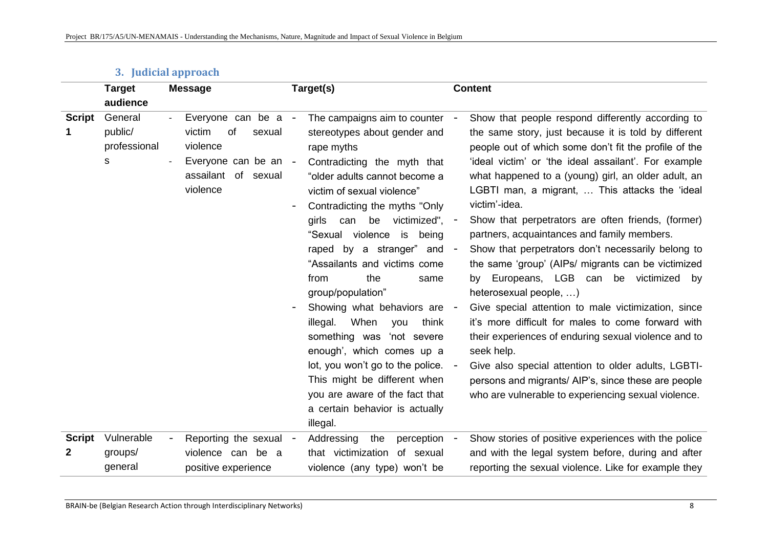|               | <b>Target</b>                           | <b>Message</b>                                                                                                     | Target(s)                                                                                                                                                                                                                                                                                                                                                                                                                                                                                                                                                                                                                                                                                                        | <b>Content</b>                                                                                                                                                                                                                                                                                                                                                                                                                                                                                                                                                                                                                                                                                                                                                                                                                                                                                                                                                                                    |
|---------------|-----------------------------------------|--------------------------------------------------------------------------------------------------------------------|------------------------------------------------------------------------------------------------------------------------------------------------------------------------------------------------------------------------------------------------------------------------------------------------------------------------------------------------------------------------------------------------------------------------------------------------------------------------------------------------------------------------------------------------------------------------------------------------------------------------------------------------------------------------------------------------------------------|---------------------------------------------------------------------------------------------------------------------------------------------------------------------------------------------------------------------------------------------------------------------------------------------------------------------------------------------------------------------------------------------------------------------------------------------------------------------------------------------------------------------------------------------------------------------------------------------------------------------------------------------------------------------------------------------------------------------------------------------------------------------------------------------------------------------------------------------------------------------------------------------------------------------------------------------------------------------------------------------------|
|               | audience                                |                                                                                                                    |                                                                                                                                                                                                                                                                                                                                                                                                                                                                                                                                                                                                                                                                                                                  |                                                                                                                                                                                                                                                                                                                                                                                                                                                                                                                                                                                                                                                                                                                                                                                                                                                                                                                                                                                                   |
| <b>Script</b> | General<br>public/<br>professional<br>s | Everyone can be a<br>of<br>victim<br>sexual<br>violence<br>Everyone can be an -<br>assailant of sexual<br>violence | The campaigns aim to counter<br>$\overline{\phantom{a}}$<br>stereotypes about gender and<br>rape myths<br>Contradicting the myth that<br>"older adults cannot become a<br>victim of sexual violence"<br>Contradicting the myths "Only<br>victimized",<br>can<br>be<br>girls<br>"Sexual violence<br>is<br>being<br>raped by a stranger"<br>and<br>"Assailants and victims come<br>from<br>the<br>same<br>group/population"<br>Showing what behaviors are -<br>When<br>illegal.<br>think<br>you<br>something was<br>'not severe<br>enough', which comes up a<br>lot, you won't go to the police. -<br>This might be different when<br>you are aware of the fact that<br>a certain behavior is actually<br>illegal. | Show that people respond differently according to<br>the same story, just because it is told by different<br>people out of which some don't fit the profile of the<br>'ideal victim' or 'the ideal assailant'. For example<br>what happened to a (young) girl, an older adult, an<br>LGBTI man, a migrant,  This attacks the 'ideal<br>victim'-idea.<br>Show that perpetrators are often friends, (former)<br>partners, acquaintances and family members.<br>Show that perpetrators don't necessarily belong to<br>the same 'group' (AIPs/ migrants can be victimized<br>by Europeans, LGB can be victimized by<br>heterosexual people, )<br>Give special attention to male victimization, since<br>it's more difficult for males to come forward with<br>their experiences of enduring sexual violence and to<br>seek help.<br>Give also special attention to older adults, LGBTI-<br>persons and migrants/ AIP's, since these are people<br>who are vulnerable to experiencing sexual violence. |
| <b>Script</b> | Vulnerable                              | Reporting the sexual                                                                                               | Addressing<br>the<br>perception                                                                                                                                                                                                                                                                                                                                                                                                                                                                                                                                                                                                                                                                                  | Show stories of positive experiences with the police                                                                                                                                                                                                                                                                                                                                                                                                                                                                                                                                                                                                                                                                                                                                                                                                                                                                                                                                              |
| 2             | groups/                                 | violence can be a                                                                                                  | that victimization of sexual                                                                                                                                                                                                                                                                                                                                                                                                                                                                                                                                                                                                                                                                                     | and with the legal system before, during and after                                                                                                                                                                                                                                                                                                                                                                                                                                                                                                                                                                                                                                                                                                                                                                                                                                                                                                                                                |
|               | general                                 | positive experience                                                                                                | violence (any type) won't be                                                                                                                                                                                                                                                                                                                                                                                                                                                                                                                                                                                                                                                                                     | reporting the sexual violence. Like for example they                                                                                                                                                                                                                                                                                                                                                                                                                                                                                                                                                                                                                                                                                                                                                                                                                                                                                                                                              |

## **3. Judicial approach**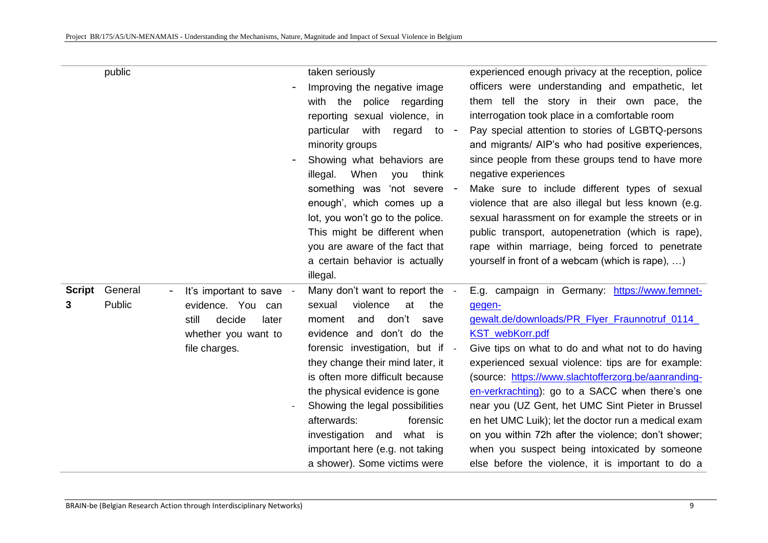|                    | public            |                                                                                                                   | taken seriously<br>Improving the negative image<br>with the police regarding<br>reporting sexual violence, in<br>particular<br>with<br>regard<br>$\mathsf{to}$ -<br>minority groups<br>Showing what behaviors are<br>When<br>illegal.<br>think<br>you<br>something was 'not severe -<br>enough', which comes up a                                                                                                                                 | experienced enough privacy at the reception, police<br>officers were understanding and empathetic, let<br>them tell the story in their own pace, the<br>interrogation took place in a comfortable room<br>Pay special attention to stories of LGBTQ-persons<br>and migrants/ AIP's who had positive experiences,<br>since people from these groups tend to have more<br>negative experiences<br>Make sure to include different types of sexual<br>violence that are also illegal but less known (e.g.                                                                                                                      |
|--------------------|-------------------|-------------------------------------------------------------------------------------------------------------------|---------------------------------------------------------------------------------------------------------------------------------------------------------------------------------------------------------------------------------------------------------------------------------------------------------------------------------------------------------------------------------------------------------------------------------------------------|----------------------------------------------------------------------------------------------------------------------------------------------------------------------------------------------------------------------------------------------------------------------------------------------------------------------------------------------------------------------------------------------------------------------------------------------------------------------------------------------------------------------------------------------------------------------------------------------------------------------------|
|                    |                   |                                                                                                                   | lot, you won't go to the police.<br>This might be different when<br>you are aware of the fact that<br>a certain behavior is actually<br>illegal.                                                                                                                                                                                                                                                                                                  | sexual harassment on for example the streets or in<br>public transport, autopenetration (which is rape),<br>rape within marriage, being forced to penetrate<br>yourself in front of a webcam (which is rape), )                                                                                                                                                                                                                                                                                                                                                                                                            |
| <b>Script</b><br>3 | General<br>Public | It's important to save -<br>evidence. You can<br>decide<br>still<br>later<br>whether you want to<br>file charges. | Many don't want to report the -<br>violence<br>at<br>sexual<br>the<br>don't<br>and<br>save<br>moment<br>evidence and don't do the<br>forensic investigation, but if -<br>they change their mind later, it<br>is often more difficult because<br>the physical evidence is gone<br>Showing the legal possibilities<br>afterwards:<br>forensic<br>investigation<br>what is<br>and<br>important here (e.g. not taking<br>a shower). Some victims were | E.g. campaign in Germany: https://www.femnet-<br>gegen-<br>gewalt.de/downloads/PR_Flyer_Fraunnotruf_0114_<br>KST_webKorr.pdf<br>Give tips on what to do and what not to do having<br>experienced sexual violence: tips are for example:<br>(source: https://www.slachtofferzorg.be/aanranding-<br>en-verkrachting): go to a SACC when there's one<br>near you (UZ Gent, het UMC Sint Pieter in Brussel<br>en het UMC Luik); let the doctor run a medical exam<br>on you within 72h after the violence; don't shower;<br>when you suspect being intoxicated by someone<br>else before the violence, it is important to do a |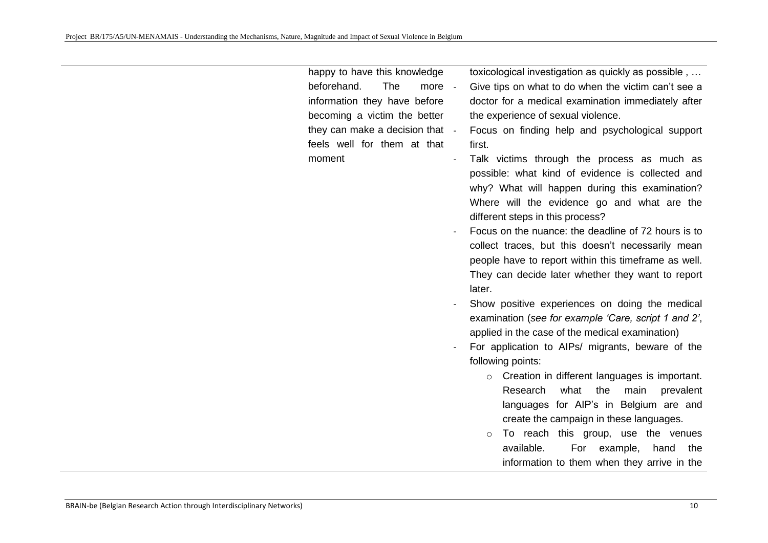happy to have this knowledge beforehand. The more information they have before becoming a victim the better they can make a decision that feels well for them at that moment

toxicological investigation as quickly as possible , …

- Give tips on what to do when the victim can't see a doctor for a medical examination immediately after the experience of sexual violence.
- Focus on finding help and psychological support first.
- Talk victims through the process as much as possible: what kind of evidence is collected and why? What will happen during this examination? Where will the evidence go and what are the different steps in this process?
- Focus on the nuance: the deadline of 72 hours is to collect traces, but this doesn't necessarily mean people have to report within this timeframe as well. They can decide later whether they want to report later.
- Show positive experiences on doing the medical examination (*see for example 'Care, script 1 and 2'*, applied in the case of the medical examination)
- For application to AIPs/ migrants, beware of the following points:
	- o Creation in different languages is important. Research what the main prevalent languages for AIP's in Belgium are and create the campaign in these languages.
	- o To reach this group, use the venues available. For example, hand the information to them when they arrive in the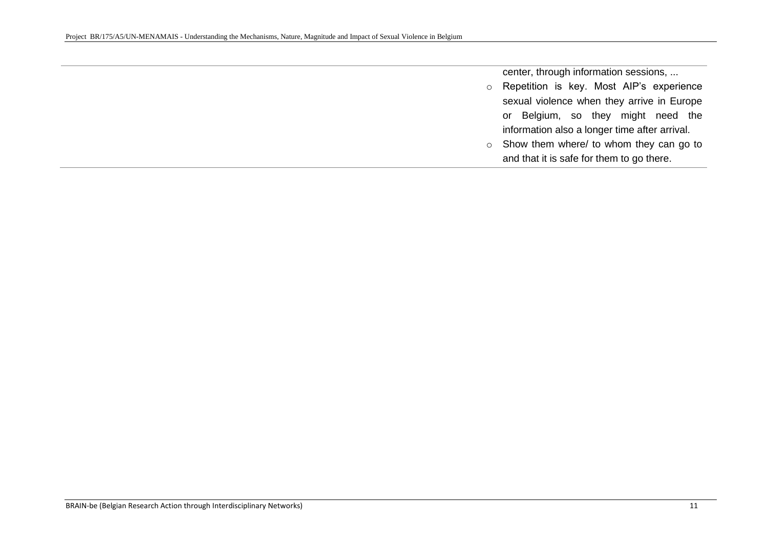center, through information sessions, ...

- o Repetition is key. Most AIP's experience sexual violence when they arrive in Europe or Belgium, so they might need the information also a longer time after arrival.
- o Show them where/ to whom they can go to and that it is safe for them to go there.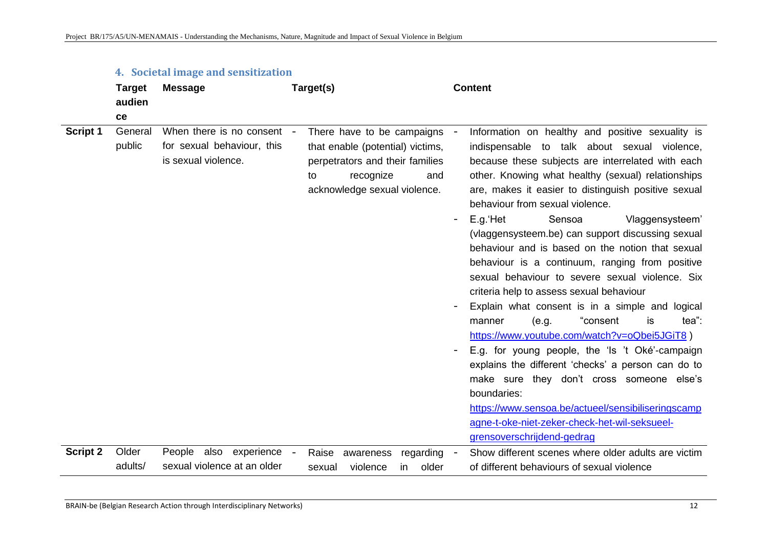|                 | <b>Target</b><br>audien<br>ce | <b>Message</b>                                                                  | Target(s)                                                                                                                                                   | <b>Content</b>                                                                                                                                                                                                                                                                                                                                                                                                                                                                                                                                                                                                                                                                                                                                                                                                                                                                                                                                                                                                                                                       |
|-----------------|-------------------------------|---------------------------------------------------------------------------------|-------------------------------------------------------------------------------------------------------------------------------------------------------------|----------------------------------------------------------------------------------------------------------------------------------------------------------------------------------------------------------------------------------------------------------------------------------------------------------------------------------------------------------------------------------------------------------------------------------------------------------------------------------------------------------------------------------------------------------------------------------------------------------------------------------------------------------------------------------------------------------------------------------------------------------------------------------------------------------------------------------------------------------------------------------------------------------------------------------------------------------------------------------------------------------------------------------------------------------------------|
| Script 1        | General<br>public             | When there is no consent -<br>for sexual behaviour, this<br>is sexual violence. | There have to be campaigns<br>that enable (potential) victims,<br>perpetrators and their families<br>recognize<br>to<br>and<br>acknowledge sexual violence. | Information on healthy and positive sexuality is<br>indispensable to talk about sexual violence,<br>because these subjects are interrelated with each<br>other. Knowing what healthy (sexual) relationships<br>are, makes it easier to distinguish positive sexual<br>behaviour from sexual violence.<br>E.g. Het<br>Sensoa<br>Vlaggensysteem'<br>(vlaggensysteem.be) can support discussing sexual<br>behaviour and is based on the notion that sexual<br>behaviour is a continuum, ranging from positive<br>sexual behaviour to severe sexual violence. Six<br>criteria help to assess sexual behaviour<br>Explain what consent is in a simple and logical<br>"consent<br>manner<br>(e.g.<br>tea":<br>is<br>https://www.youtube.com/watch?v=oQbei5JGiT8)<br>E.g. for young people, the 'Is 't Oké'-campaign<br>explains the different 'checks' a person can do to<br>make sure they don't cross someone else's<br>boundaries:<br>https://www.sensoa.be/actueel/sensibiliseringscamp<br>agne-t-oke-niet-zeker-check-het-wil-seksueel-<br>grensoverschrijdend-gedrag |
| <b>Script 2</b> | Older<br>adults/              | also experience<br>People<br>sexual violence at an older                        | Raise<br>awareness<br>regarding<br>$\overline{\phantom{a}}$<br>violence<br>older<br><i>in</i><br>sexual                                                     | Show different scenes where older adults are victim<br>of different behaviours of sexual violence                                                                                                                                                                                                                                                                                                                                                                                                                                                                                                                                                                                                                                                                                                                                                                                                                                                                                                                                                                    |

### **4. Societal image and sensitization**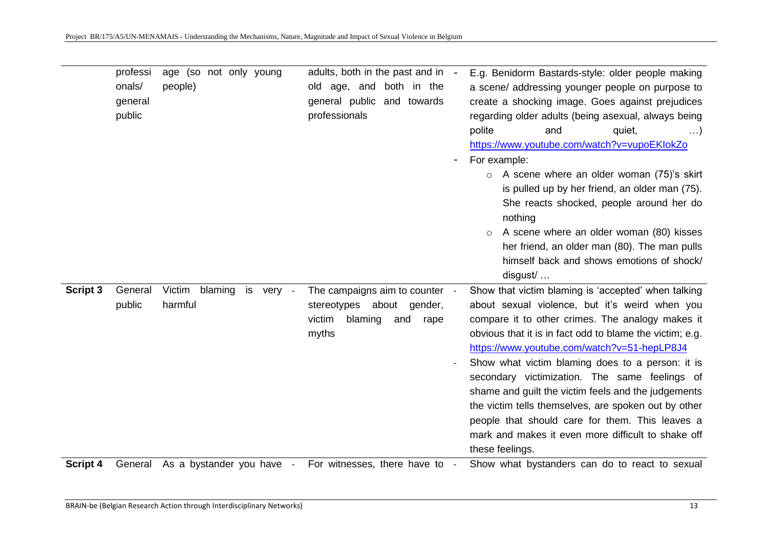|          | professi<br>onals/<br>general<br>public | age (so not only young<br>people)      | adults, both in the past and in -<br>old age, and both in the<br>general public and towards<br>professionals | E.g. Benidorm Bastards-style: older people making<br>a scene/ addressing younger people on purpose to<br>create a shocking image. Goes against prejudices<br>regarding older adults (being asexual, always being<br>polite<br>and<br>quiet,<br>$\ldots$<br>https://www.youtube.com/watch?v=vupoEKlokZo<br>For example:<br>A scene where an older woman (75)'s skirt<br>$\circ$<br>is pulled up by her friend, an older man (75).<br>She reacts shocked, people around her do<br>nothing<br>A scene where an older woman (80) kisses<br>$\circ$<br>her friend, an older man (80). The man pulls<br>himself back and shows emotions of shock/<br>$disgust/$ |
|----------|-----------------------------------------|----------------------------------------|--------------------------------------------------------------------------------------------------------------|-----------------------------------------------------------------------------------------------------------------------------------------------------------------------------------------------------------------------------------------------------------------------------------------------------------------------------------------------------------------------------------------------------------------------------------------------------------------------------------------------------------------------------------------------------------------------------------------------------------------------------------------------------------|
| Script 3 | General<br>public                       | Victim<br>blaming is very -<br>harmful | The campaigns aim to counter -<br>stereotypes about<br>gender,<br>blaming<br>victim<br>and<br>rape<br>myths  | Show that victim blaming is 'accepted' when talking<br>about sexual violence, but it's weird when you<br>compare it to other crimes. The analogy makes it<br>obvious that it is in fact odd to blame the victim; e.g.<br>https://www.youtube.com/watch?v=51-hepLP8J4<br>Show what victim blaming does to a person: it is<br>secondary victimization. The same feelings of<br>shame and guilt the victim feels and the judgements<br>the victim tells themselves, are spoken out by other<br>people that should care for them. This leaves a<br>mark and makes it even more difficult to shake off<br>these feelings.                                      |
| Script 4 | General                                 | As a bystander you have -              | For witnesses, there have to -                                                                               | Show what bystanders can do to react to sexual                                                                                                                                                                                                                                                                                                                                                                                                                                                                                                                                                                                                            |